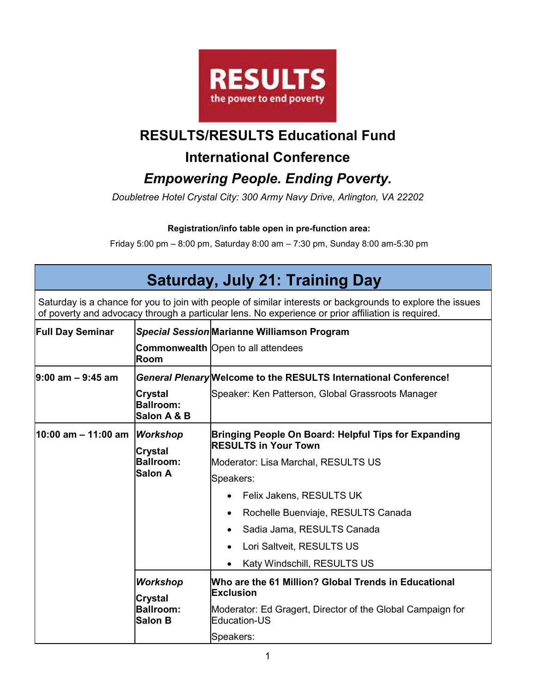

### **RESULTS/RESULTS Educational Fund**

#### **International Conference**

## *Empowering People. Ending Poverty.*

*Doubletree Hotel Crystal City: 300 Army Navy Drive, Arlington, VA 22202* 

#### **Registration/info table open in pre-function area:**

Friday 5:00 pm – 8:00 pm, Saturday 8:00 am – 7:30 pm, Sunday 8:00 am-5:30 pm

# **Saturday, July 21: Training Day**

Saturday is a chance for you to join with people of similar interests or backgrounds to explore the issues of poverty and advocacy through a particular lens. No experience or prior affiliation is required.

| <b>Full Day Seminar</b> |                                                                  | Special Session Marianne Williamson Program                                         |
|-------------------------|------------------------------------------------------------------|-------------------------------------------------------------------------------------|
|                         | Room                                                             | <b>Commonwealth</b> Open to all attendees                                           |
| $9:00$ am $-9:45$ am    |                                                                  | General Plenary Welcome to the RESULTS International Conference!                    |
|                         | Crystal<br><b>Ballroom:</b><br>Salon A & B                       | Speaker: Ken Patterson, Global Grassroots Manager                                   |
| l10:00 am – 11:00 am    | <b>Workshop</b><br><b>Crystal</b>                                | Bringing People On Board: Helpful Tips for Expanding<br><b>RESULTS in Your Town</b> |
|                         | <b>Ballroom:</b>                                                 | Moderator: Lisa Marchal, RESULTS US                                                 |
|                         | Salon A                                                          | Speakers:                                                                           |
|                         |                                                                  | Felix Jakens, RESULTS UK                                                            |
|                         |                                                                  | Rochelle Buenviaje, RESULTS Canada                                                  |
|                         |                                                                  | Sadia Jama, RESULTS Canada                                                          |
|                         |                                                                  | Lori Saltveit, RESULTS US                                                           |
|                         |                                                                  | Katy Windschill, RESULTS US                                                         |
|                         | <b>Workshop</b><br>Crystal<br><b>Ballroom:</b><br><b>Salon B</b> | Who are the 61 Million? Global Trends in Educational<br><b>Exclusion</b>            |
|                         |                                                                  | Moderator: Ed Gragert, Director of the Global Campaign for<br>Education-US          |
|                         |                                                                  | Speakers:                                                                           |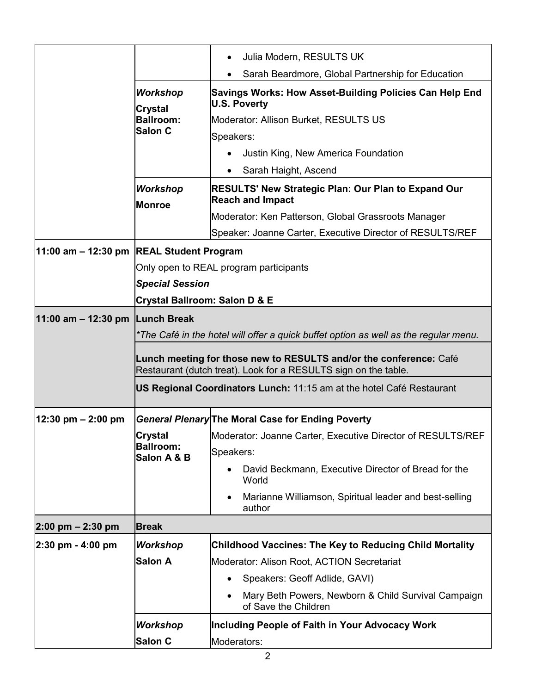|                                             |                                          | Julia Modern, RESULTS UK<br>$\bullet$                                                                                                 |
|---------------------------------------------|------------------------------------------|---------------------------------------------------------------------------------------------------------------------------------------|
|                                             |                                          | Sarah Beardmore, Global Partnership for Education                                                                                     |
| <b>Workshop</b>                             |                                          | Savings Works: How Asset-Building Policies Can Help End<br><b>U.S. Poverty</b>                                                        |
|                                             | <b>Crystal</b><br><b>Ballroom:</b>       | Moderator: Allison Burket, RESULTS US                                                                                                 |
|                                             | <b>Salon C</b>                           | Speakers:                                                                                                                             |
|                                             |                                          | Justin King, New America Foundation                                                                                                   |
|                                             |                                          | Sarah Haight, Ascend                                                                                                                  |
|                                             | <b>Workshop</b><br><b>Monroe</b>         | <b>RESULTS' New Strategic Plan: Our Plan to Expand Our</b><br><b>Reach and Impact</b>                                                 |
|                                             |                                          | Moderator: Ken Patterson, Global Grassroots Manager                                                                                   |
|                                             |                                          | Speaker: Joanne Carter, Executive Director of RESULTS/REF                                                                             |
| $11:00$ am $-12:30$ pm REAL Student Program |                                          |                                                                                                                                       |
|                                             |                                          | Only open to REAL program participants                                                                                                |
|                                             | <b>Special Session</b>                   |                                                                                                                                       |
|                                             | <b>Crystal Ballroom: Salon D &amp; E</b> |                                                                                                                                       |
| 11:00 am $-$ 12:30 pm Lunch Break           |                                          |                                                                                                                                       |
|                                             |                                          | *The Café in the hotel will offer a quick buffet option as well as the regular menu.                                                  |
|                                             |                                          | Lunch meeting for those new to RESULTS and/or the conference: Café<br>Restaurant (dutch treat). Look for a RESULTS sign on the table. |
|                                             |                                          | US Regional Coordinators Lunch: 11:15 am at the hotel Café Restaurant                                                                 |
| 12:30 pm – 2:00 pm                          |                                          | General Plenary The Moral Case for Ending Poverty                                                                                     |
|                                             | <b>Crystal</b>                           | Moderator: Joanne Carter, Executive Director of RESULTS/REF                                                                           |
|                                             | <b>Ballroom:</b><br>Salon A & B          | Speakers:                                                                                                                             |
|                                             |                                          | David Beckmann, Executive Director of Bread for the<br>World                                                                          |
|                                             |                                          | Marianne Williamson, Spiritual leader and best-selling<br>author                                                                      |
| $2:00 \text{ pm} - 2:30 \text{ pm}$         | <b>Break</b>                             |                                                                                                                                       |
| $2:30$ pm - 4:00 pm                         | <b>Workshop</b>                          | <b>Childhood Vaccines: The Key to Reducing Child Mortality</b>                                                                        |
|                                             | <b>Salon A</b>                           | Moderator: Alison Root, ACTION Secretariat                                                                                            |
|                                             |                                          | Speakers: Geoff Adlide, GAVI)                                                                                                         |
|                                             |                                          | Mary Beth Powers, Newborn & Child Survival Campaign<br>of Save the Children                                                           |
|                                             | <b>Workshop</b>                          | Including People of Faith in Your Advocacy Work                                                                                       |
|                                             | <b>Salon C</b>                           | Moderators:                                                                                                                           |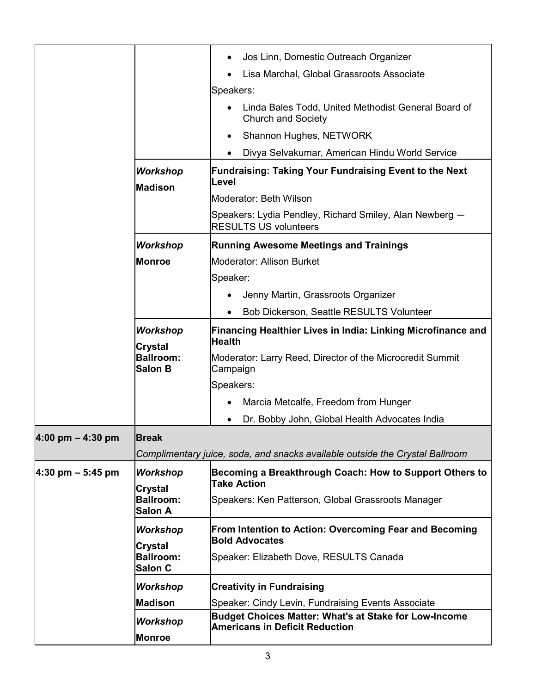|                                     |                                    | Jos Linn, Domestic Outreach Organizer                                                                 |
|-------------------------------------|------------------------------------|-------------------------------------------------------------------------------------------------------|
|                                     |                                    | Lisa Marchal, Global Grassroots Associate                                                             |
|                                     |                                    | Speakers:                                                                                             |
|                                     |                                    | Linda Bales Todd, United Methodist General Board of<br><b>Church and Society</b>                      |
|                                     |                                    | Shannon Hughes, NETWORK                                                                               |
|                                     |                                    | Divya Selvakumar, American Hindu World Service                                                        |
|                                     | <b>Workshop</b><br><b>Madison</b>  | <b>Fundraising: Taking Your Fundraising Event to the Next</b><br>Level                                |
|                                     |                                    | Moderator: Beth Wilson                                                                                |
|                                     |                                    | Speakers: Lydia Pendley, Richard Smiley, Alan Newberg -<br><b>RESULTS US volunteers</b>               |
|                                     | <b>Workshop</b>                    | <b>Running Awesome Meetings and Trainings</b>                                                         |
|                                     | <b>Monroe</b>                      | Moderator: Allison Burket                                                                             |
|                                     |                                    | Speaker:                                                                                              |
|                                     |                                    | Jenny Martin, Grassroots Organizer                                                                    |
|                                     |                                    | Bob Dickerson, Seattle RESULTS Volunteer                                                              |
|                                     | <b>Workshop</b><br>Crystal         | Financing Healthier Lives in India: Linking Microfinance and<br><b>Health</b>                         |
|                                     | <b>Ballroom:</b><br><b>Salon B</b> | Moderator: Larry Reed, Director of the Microcredit Summit<br>Campaign                                 |
|                                     |                                    | Speakers:                                                                                             |
|                                     |                                    | Marcia Metcalfe, Freedom from Hunger                                                                  |
|                                     |                                    | Dr. Bobby John, Global Health Advocates India                                                         |
| $4:00 \text{ pm} - 4:30 \text{ pm}$ | <b>Break</b>                       |                                                                                                       |
|                                     |                                    | Complimentary juice, soda, and snacks available outside the Crystal Ballroom                          |
| $4:30$ pm $-5:45$ pm                | <b>Workshop</b><br><b>Crystal</b>  | Becoming a Breakthrough Coach: How to Support Others to<br><b>Take Action</b>                         |
|                                     | <b>Ballroom:</b><br><b>Salon A</b> | Speakers: Ken Patterson, Global Grassroots Manager                                                    |
|                                     | Workshop                           | From Intention to Action: Overcoming Fear and Becoming                                                |
|                                     | <b>Crystal</b>                     | <b>Bold Advocates</b>                                                                                 |
|                                     | <b>Ballroom:</b><br>Salon C        | Speaker: Elizabeth Dove, RESULTS Canada                                                               |
|                                     | <b>Workshop</b>                    | <b>Creativity in Fundraising</b>                                                                      |
|                                     | <b>Madison</b>                     | Speaker: Cindy Levin, Fundraising Events Associate                                                    |
|                                     | Workshop                           | <b>Budget Choices Matter: What's at Stake for Low-Income</b><br><b>Americans in Deficit Reduction</b> |
|                                     | <b>Monroe</b>                      |                                                                                                       |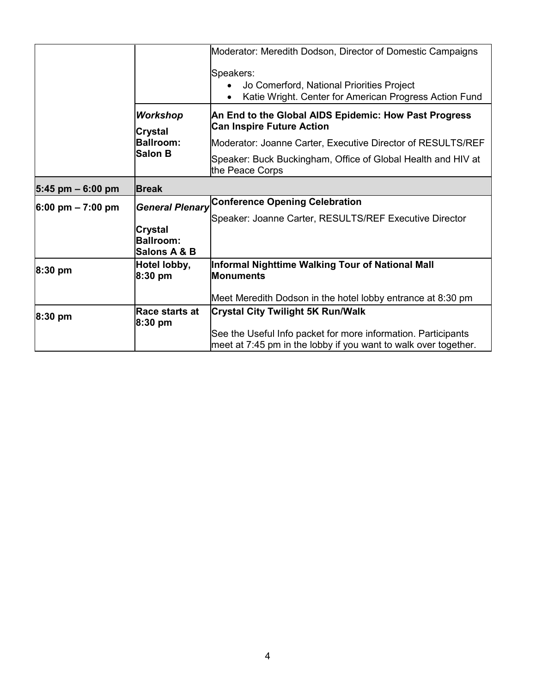|                                     |                                             | Moderator: Meredith Dodson, Director of Domestic Campaigns                                                                       |
|-------------------------------------|---------------------------------------------|----------------------------------------------------------------------------------------------------------------------------------|
|                                     |                                             | Speakers:<br>Jo Comerford, National Priorities Project<br>Katie Wright. Center for American Progress Action Fund                 |
|                                     | <b>Workshop</b><br>Crystal                  | An End to the Global AIDS Epidemic: How Past Progress<br><b>Can Inspire Future Action</b>                                        |
|                                     | <b>Ballroom:</b>                            | Moderator: Joanne Carter, Executive Director of RESULTS/REF                                                                      |
| <b>Salon B</b>                      |                                             | Speaker: Buck Buckingham, Office of Global Health and HIV at<br>the Peace Corps                                                  |
| $5:45$ pm $-6:00$ pm                | <b>IBreak</b>                               |                                                                                                                                  |
| $6:00 \text{ pm} - 7:00 \text{ pm}$ | <b>General Plenary</b>                      | <b>Conference Opening Celebration</b>                                                                                            |
|                                     | Crystal<br><b>Ballroom:</b><br>Salons A & B | Speaker: Joanne Carter, RESULTS/REF Executive Director                                                                           |
| $8:30$ pm                           | Hotel lobby,<br>$8:30$ pm                   | Informal Nighttime Walking Tour of National Mall<br><b>Monuments</b>                                                             |
|                                     |                                             | Meet Meredith Dodson in the hotel lobby entrance at 8:30 pm                                                                      |
| $8:30$ pm                           | Race starts at<br>$8:30$ pm                 | <b>Crystal City Twilight 5K Run/Walk</b>                                                                                         |
|                                     |                                             | See the Useful Info packet for more information. Participants<br>meet at 7:45 pm in the lobby if you want to walk over together. |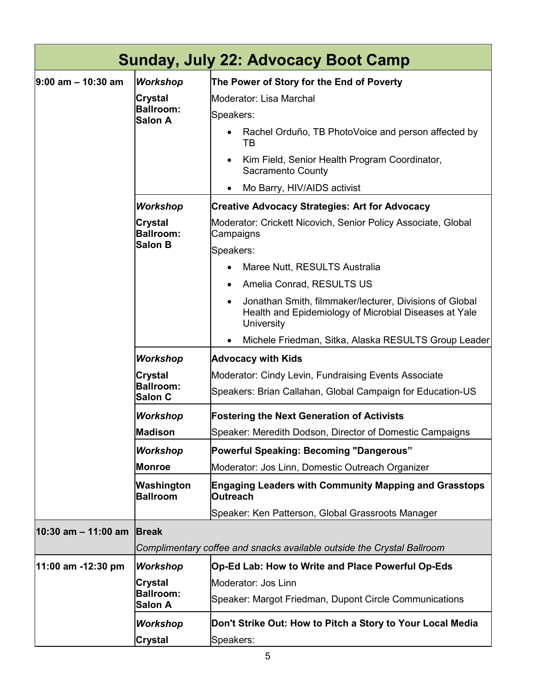| <b>Sunday, July 22: Advocacy Boot Camp</b> |                                               |                                                                                                                                |
|--------------------------------------------|-----------------------------------------------|--------------------------------------------------------------------------------------------------------------------------------|
| $9:00$ am $-10:30$ am                      | <b>Workshop</b>                               | The Power of Story for the End of Poverty                                                                                      |
|                                            | Crystal<br><b>Ballroom:</b><br><b>Salon A</b> | Moderator: Lisa Marchal                                                                                                        |
|                                            |                                               | Speakers:                                                                                                                      |
|                                            |                                               | Rachel Orduño, TB PhotoVoice and person affected by<br>TB                                                                      |
|                                            |                                               | Kim Field, Senior Health Program Coordinator,<br>Sacramento County                                                             |
|                                            |                                               | Mo Barry, HIV/AIDS activist                                                                                                    |
|                                            | Workshop                                      | <b>Creative Advocacy Strategies: Art for Advocacy</b>                                                                          |
|                                            | Crystal<br><b>Ballroom:</b>                   | Moderator: Crickett Nicovich, Senior Policy Associate, Global<br>Campaigns                                                     |
|                                            | <b>Salon B</b>                                | Speakers:                                                                                                                      |
|                                            |                                               | Maree Nutt, RESULTS Australia                                                                                                  |
|                                            |                                               | Amelia Conrad, RESULTS US<br>$\bullet$                                                                                         |
|                                            |                                               | Jonathan Smith, filmmaker/lecturer, Divisions of Global<br>Health and Epidemiology of Microbial Diseases at Yale<br>University |
|                                            |                                               | Michele Friedman, Sitka, Alaska RESULTS Group Leader                                                                           |
|                                            | <b>Workshop</b>                               | <b>Advocacy with Kids</b>                                                                                                      |
|                                            | Crystal<br><b>Ballroom:</b><br><b>Salon C</b> | Moderator: Cindy Levin, Fundraising Events Associate                                                                           |
|                                            |                                               | Speakers: Brian Callahan, Global Campaign for Education-US                                                                     |
|                                            | Workshop                                      | <b>Fostering the Next Generation of Activists</b>                                                                              |
|                                            | <b>Madison</b>                                | Speaker: Meredith Dodson, Director of Domestic Campaigns                                                                       |
|                                            | Workshop                                      | <b>Powerful Speaking: Becoming "Dangerous"</b>                                                                                 |
|                                            | <b>Monroe</b>                                 | Moderator: Jos Linn, Domestic Outreach Organizer                                                                               |
|                                            | Washington<br><b>Ballroom</b>                 | <b>Engaging Leaders with Community Mapping and Grasstops</b><br><b>Outreach</b>                                                |
|                                            |                                               | Speaker: Ken Patterson, Global Grassroots Manager                                                                              |
| 10:30 am - 11:00 am                        | <b>Break</b>                                  |                                                                                                                                |
|                                            |                                               | Complimentary coffee and snacks available outside the Crystal Ballroom                                                         |
| 11:00 am -12:30 pm                         | <b>Workshop</b>                               | Op-Ed Lab: How to Write and Place Powerful Op-Eds                                                                              |
|                                            | Crystal<br><b>Ballroom:</b><br><b>Salon A</b> | Moderator: Jos Linn                                                                                                            |
|                                            |                                               | Speaker: Margot Friedman, Dupont Circle Communications                                                                         |
|                                            | Workshop                                      | Don't Strike Out: How to Pitch a Story to Your Local Media                                                                     |
|                                            | Crystal                                       | Speakers:                                                                                                                      |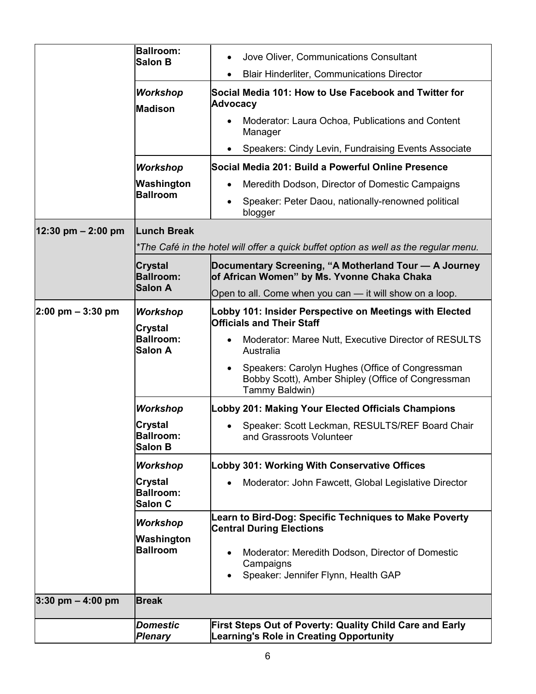|                                      | <b>Ballroom:</b><br><b>Salon B</b>                   | Jove Oliver, Communications Consultant<br>$\bullet$                                                                     |
|--------------------------------------|------------------------------------------------------|-------------------------------------------------------------------------------------------------------------------------|
|                                      |                                                      | <b>Blair Hinderliter, Communications Director</b>                                                                       |
|                                      | <b>Workshop</b><br><b>Madison</b>                    | Social Media 101: How to Use Facebook and Twitter for<br><b>Advocacy</b>                                                |
|                                      |                                                      | Moderator: Laura Ochoa, Publications and Content<br>Manager                                                             |
|                                      |                                                      | Speakers: Cindy Levin, Fundraising Events Associate                                                                     |
|                                      | <b>Workshop</b>                                      | Social Media 201: Build a Powerful Online Presence                                                                      |
|                                      | Washington                                           | Meredith Dodson, Director of Domestic Campaigns                                                                         |
|                                      | <b>Ballroom</b>                                      | Speaker: Peter Daou, nationally-renowned political<br>blogger                                                           |
| $12:30 \text{ pm} - 2:00 \text{ pm}$ | <b>Lunch Break</b>                                   |                                                                                                                         |
|                                      |                                                      | *The Café in the hotel will offer a quick buffet option as well as the regular menu.                                    |
|                                      | <b>Crystal</b><br><b>Ballroom:</b>                   | Documentary Screening, "A Motherland Tour - A Journey<br>of African Women" by Ms. Yvonne Chaka Chaka                    |
|                                      | <b>Salon A</b>                                       | Open to all. Come when you can - it will show on a loop.                                                                |
| $ 2:00 \text{ pm} - 3:30 \text{ pm}$ | <b>Workshop</b><br><b>Crystal</b>                    | Lobby 101: Insider Perspective on Meetings with Elected<br><b>Officials and Their Staff</b>                             |
|                                      | <b>Ballroom:</b><br><b>Salon A</b>                   | Moderator: Maree Nutt, Executive Director of RESULTS<br>Australia                                                       |
|                                      |                                                      | Speakers: Carolyn Hughes (Office of Congressman<br>Bobby Scott), Amber Shipley (Office of Congressman<br>Tammy Baldwin) |
|                                      | <b>Workshop</b>                                      | Lobby 201: Making Your Elected Officials Champions                                                                      |
|                                      | <b>Crystal</b><br><b>Ballroom:</b><br><b>Salon B</b> | Speaker: Scott Leckman, RESULTS/REF Board Chair<br>and Grassroots Volunteer                                             |
|                                      | <b>Workshop</b>                                      | Lobby 301: Working With Conservative Offices                                                                            |
|                                      | <b>Crystal</b><br><b>Ballroom:</b><br><b>Salon C</b> | Moderator: John Fawcett, Global Legislative Director                                                                    |
|                                      | <b>Workshop</b>                                      | Learn to Bird-Dog: Specific Techniques to Make Poverty                                                                  |
|                                      | Washington                                           | <b>Central During Elections</b>                                                                                         |
|                                      | <b>Ballroom</b>                                      | Moderator: Meredith Dodson, Director of Domestic<br>Campaigns<br>Speaker: Jennifer Flynn, Health GAP                    |
| $3:30$ pm $-4:00$ pm                 | <b>Break</b>                                         |                                                                                                                         |
|                                      | <b>Domestic</b><br><b>Plenary</b>                    | First Steps Out of Poverty: Quality Child Care and Early<br><b>Learning's Role in Creating Opportunity</b>              |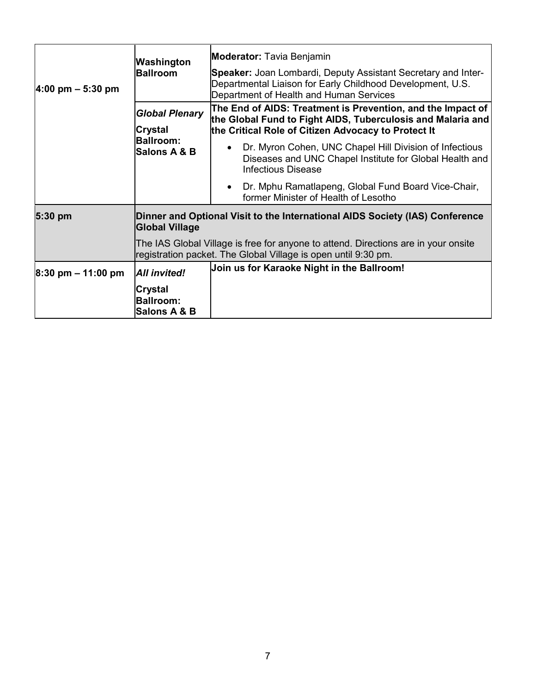| $ 4:00 \text{ pm} - 5:30 \text{ pm} $ | Washington<br><b>Ballroom</b>                                                                         | <b>Moderator:</b> Tavia Benjamin<br>Speaker: Joan Lombardi, Deputy Assistant Secretary and Inter-<br>Departmental Liaison for Early Childhood Development, U.S.<br>Department of Health and Human Services |
|---------------------------------------|-------------------------------------------------------------------------------------------------------|------------------------------------------------------------------------------------------------------------------------------------------------------------------------------------------------------------|
|                                       | <b>Global Plenary</b><br><b>Crystal</b>                                                               | The End of AIDS: Treatment is Prevention, and the Impact of<br>the Global Fund to Fight AIDS, Tuberculosis and Malaria and<br>the Critical Role of Citizen Advocacy to Protect It                          |
|                                       | <b>Ballroom:</b><br>Salons A & B                                                                      | Dr. Myron Cohen, UNC Chapel Hill Division of Infectious<br>Diseases and UNC Chapel Institute for Global Health and<br><b>Infectious Disease</b>                                                            |
|                                       |                                                                                                       | Dr. Mphu Ramatlapeng, Global Fund Board Vice-Chair,<br>$\bullet$<br>former Minister of Health of Lesotho                                                                                                   |
| $5:30$ pm                             | Dinner and Optional Visit to the International AIDS Society (IAS) Conference<br><b>Global Village</b> |                                                                                                                                                                                                            |
|                                       |                                                                                                       | The IAS Global Village is free for anyone to attend. Directions are in your onsite<br>registration packet. The Global Village is open until 9:30 pm.                                                       |
| $ 8:30$ pm $-11:00$ pm                | All invited!                                                                                          | Join us for Karaoke Night in the Ballroom!                                                                                                                                                                 |
|                                       | <b>Crystal</b><br><b>Ballroom:</b><br>Salons A & B                                                    |                                                                                                                                                                                                            |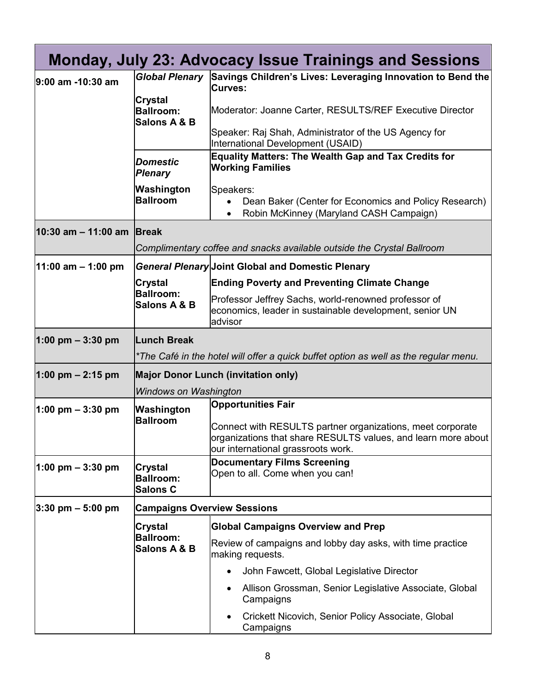|                                     |                                                       | Monday, July 23: Advocacy Issue Trainings and Sessions                                                                                                            |
|-------------------------------------|-------------------------------------------------------|-------------------------------------------------------------------------------------------------------------------------------------------------------------------|
| 9:00 am -10:30 am                   | <b>Global Plenary</b>                                 | Savings Children's Lives: Leveraging Innovation to Bend the<br><b>Curves:</b>                                                                                     |
|                                     | <b>Crystal</b><br><b>Ballroom:</b><br>Salons A & B    | Moderator: Joanne Carter, RESULTS/REF Executive Director                                                                                                          |
|                                     |                                                       | Speaker: Raj Shah, Administrator of the US Agency for<br>International Development (USAID)                                                                        |
|                                     | <b>Domestic</b><br><b>Plenary</b>                     | <b>Equality Matters: The Wealth Gap and Tax Credits for</b><br><b>Working Families</b>                                                                            |
|                                     | Washington<br><b>Ballroom</b>                         | Speakers:<br>Dean Baker (Center for Economics and Policy Research)<br>Robin McKinney (Maryland CASH Campaign)                                                     |
| 10:30 am - 11:00 am                 | <b>Break</b>                                          |                                                                                                                                                                   |
|                                     |                                                       | Complimentary coffee and snacks available outside the Crystal Ballroom                                                                                            |
| $11:00$ am $-1:00$ pm               |                                                       | <b>General Plenary Joint Global and Domestic Plenary</b>                                                                                                          |
|                                     | <b>Crystal</b>                                        | <b>Ending Poverty and Preventing Climate Change</b>                                                                                                               |
|                                     | <b>Ballroom:</b><br>Salons A & B                      | Professor Jeffrey Sachs, world-renowned professor of<br>economics, leader in sustainable development, senior UN<br>advisor                                        |
| $1:00 \text{ pm} - 3:30 \text{ pm}$ | <b>Lunch Break</b>                                    |                                                                                                                                                                   |
|                                     |                                                       | *The Café in the hotel will offer a quick buffet option as well as the regular menu.                                                                              |
| 1:00 pm $- 2:15$ pm                 |                                                       | <b>Major Donor Lunch (invitation only)</b>                                                                                                                        |
|                                     | <b>Windows on Washington</b>                          |                                                                                                                                                                   |
| $1:00 \text{ pm} - 3:30 \text{ pm}$ | Washington                                            | <b>Opportunities Fair</b>                                                                                                                                         |
|                                     | <b>Ballroom</b>                                       | Connect with RESULTS partner organizations, meet corporate<br>organizations that share RESULTS values, and learn more about<br>our international grassroots work. |
| $1:00 \text{ pm} - 3:30 \text{ pm}$ | <b>Crystal</b><br><b>Ballroom:</b><br><b>Salons C</b> | <b>Documentary Films Screening</b><br>Open to all. Come when you can!                                                                                             |
| $ 3:30$ pm $-5:00$ pm               | <b>Campaigns Overview Sessions</b>                    |                                                                                                                                                                   |
|                                     | <b>Crystal</b>                                        | <b>Global Campaigns Overview and Prep</b>                                                                                                                         |
|                                     | <b>Ballroom:</b><br>Salons A & B                      | Review of campaigns and lobby day asks, with time practice<br>making requests.                                                                                    |
|                                     |                                                       | John Fawcett, Global Legislative Director                                                                                                                         |
|                                     |                                                       | Allison Grossman, Senior Legislative Associate, Global<br>Campaigns                                                                                               |
|                                     |                                                       | Crickett Nicovich, Senior Policy Associate, Global<br>Campaigns                                                                                                   |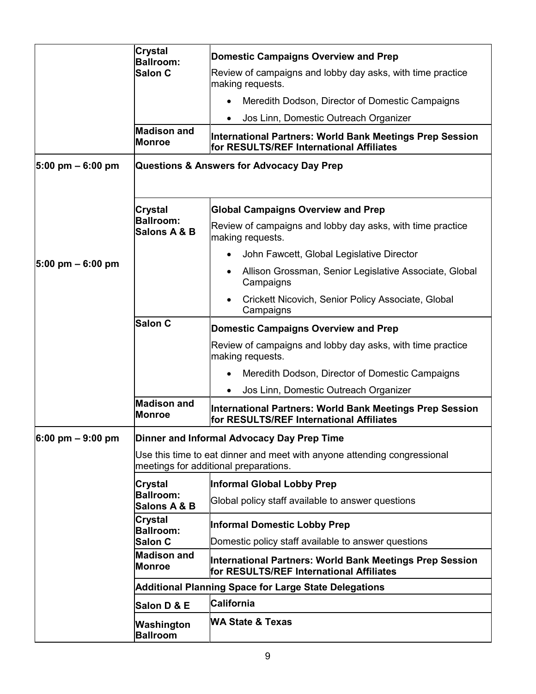|                                       | <b>Crystal</b><br><b>Ballroom:</b>                                                                                | Domestic Campaigns Overview and Prep                                                                 |
|---------------------------------------|-------------------------------------------------------------------------------------------------------------------|------------------------------------------------------------------------------------------------------|
|                                       | <b>Salon C</b>                                                                                                    | Review of campaigns and lobby day asks, with time practice<br>making requests.                       |
|                                       |                                                                                                                   | Meredith Dodson, Director of Domestic Campaigns                                                      |
|                                       |                                                                                                                   | Jos Linn, Domestic Outreach Organizer                                                                |
|                                       | <b>Madison and</b><br>Monroe                                                                                      | International Partners: World Bank Meetings Prep Session<br>for RESULTS/REF International Affiliates |
| $ 5:00 \text{ pm} - 6:00 \text{ pm} $ | Questions & Answers for Advocacy Day Prep                                                                         |                                                                                                      |
|                                       | <b>Crystal</b>                                                                                                    | <b>Global Campaigns Overview and Prep</b>                                                            |
|                                       | <b>Ballroom:</b><br>Salons A & B                                                                                  | Review of campaigns and lobby day asks, with time practice<br>making requests.                       |
|                                       |                                                                                                                   | John Fawcett, Global Legislative Director                                                            |
| $ 5:00 \text{ pm} - 6:00 \text{ pm} $ |                                                                                                                   | Allison Grossman, Senior Legislative Associate, Global<br>Campaigns                                  |
|                                       |                                                                                                                   | Crickett Nicovich, Senior Policy Associate, Global<br>Campaigns                                      |
|                                       | <b>Salon C</b>                                                                                                    | <b>Domestic Campaigns Overview and Prep</b>                                                          |
|                                       |                                                                                                                   | Review of campaigns and lobby day asks, with time practice<br>making requests.                       |
|                                       |                                                                                                                   | Meredith Dodson, Director of Domestic Campaigns                                                      |
|                                       |                                                                                                                   | Jos Linn, Domestic Outreach Organizer                                                                |
|                                       | <b>Madison and</b><br>Monroe                                                                                      | International Partners: World Bank Meetings Prep Session<br>for RESULTS/REF International Affiliates |
| $6:00 \text{ pm} - 9:00 \text{ pm}$   |                                                                                                                   | Dinner and Informal Advocacy Day Prep Time                                                           |
|                                       | Use this time to eat dinner and meet with anyone attending congressional<br>meetings for additional preparations. |                                                                                                      |
|                                       | Crystal                                                                                                           | Informal Global Lobby Prep                                                                           |
|                                       | <b>Ballroom:</b><br>Salons A & B                                                                                  | Global policy staff available to answer questions                                                    |
|                                       | <b>Crystal</b><br><b>Ballroom:</b>                                                                                | <b>Informal Domestic Lobby Prep</b>                                                                  |
|                                       | <b>Salon C</b>                                                                                                    | Domestic policy staff available to answer questions                                                  |
|                                       | <b>Madison and</b><br>Monroe                                                                                      | International Partners: World Bank Meetings Prep Session<br>for RESULTS/REF International Affiliates |
|                                       |                                                                                                                   | Additional Planning Space for Large State Delegations                                                |
|                                       | Salon D & E                                                                                                       | <b>California</b>                                                                                    |
|                                       | Washington<br><b>Ballroom</b>                                                                                     | WA State & Texas                                                                                     |